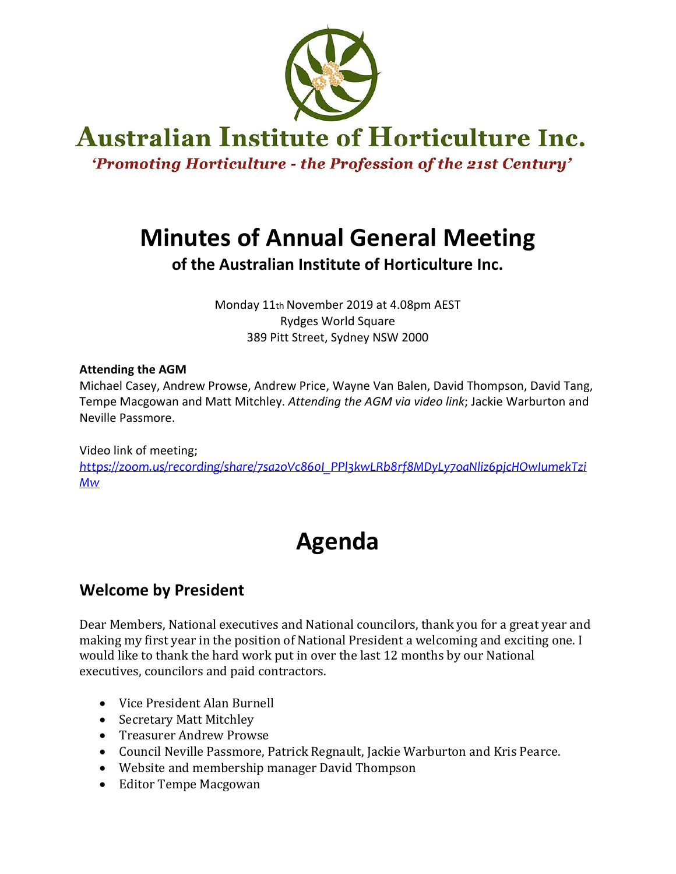

# **Australian Institute of Horticulture Inc.**

'Promoting Horticulture - the Profession of the 21st Century'

# **Minutes of Annual General Meeting**

**of the Australian Institute of Horticulture Inc.**

Monday 11th November 2019 at 4.08pm AEST Rydges World Square 389 Pitt Street, Sydney NSW 2000

### **Attending the AGM**

Michael Casey, Andrew Prowse, Andrew Price, Wayne Van Balen, David Thompson, David Tang, Tempe Macgowan and Matt Mitchley. *Attending the AGM via video link*; Jackie Warburton and Neville Passmore.

Video link of meeting;

*[https://zoom.us/recording/share/7sa2oVc860I\\_PPl3kwLRb8rf8MDyLy7oaNliz6pjcHOwIumekTzi](https://zoom.us/recording/share/7sa2oVc860I_PPl3kwLRb8rf8MDyLy7oaNliz6pjcHOwIumekTziMw) [Mw](https://zoom.us/recording/share/7sa2oVc860I_PPl3kwLRb8rf8MDyLy7oaNliz6pjcHOwIumekTziMw)*

# **Agenda**

## **Welcome by President**

Dear Members, National executives and National councilors, thank you for a great year and making my first year in the position of National President a welcoming and exciting one. I would like to thank the hard work put in over the last 12 months by our National executives, councilors and paid contractors.

- Vice President Alan Burnell
- Secretary Matt Mitchley
- Treasurer Andrew Prowse
- Council Neville Passmore, Patrick Regnault, Jackie Warburton and Kris Pearce.
- Website and membership manager David Thompson
- Editor Tempe Macgowan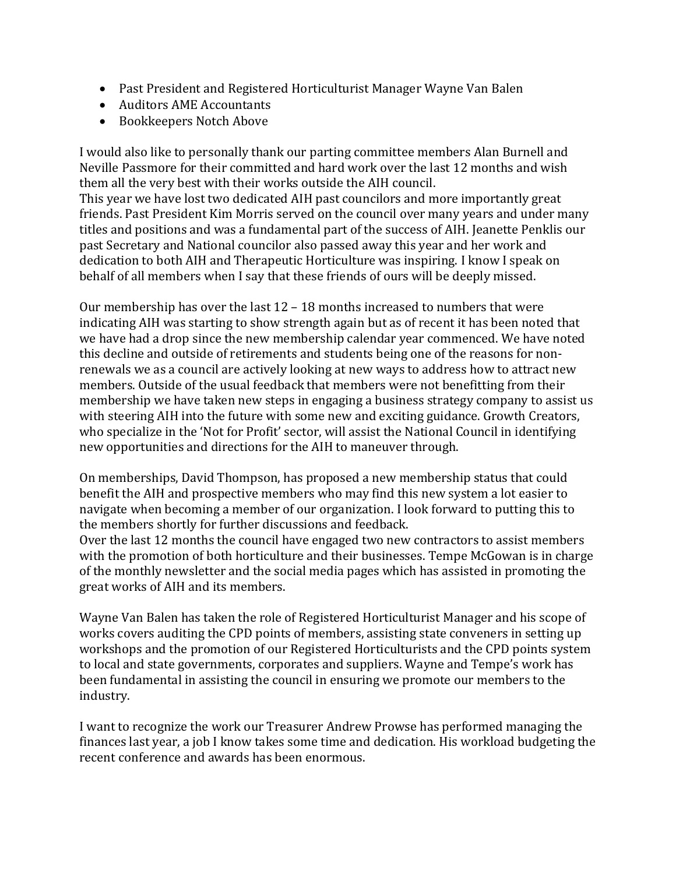- Past President and Registered Horticulturist Manager Wayne Van Balen
- Auditors AME Accountants
- Bookkeepers Notch Above

I would also like to personally thank our parting committee members Alan Burnell and Neville Passmore for their committed and hard work over the last 12 months and wish them all the very best with their works outside the AIH council.

This year we have lost two dedicated AIH past councilors and more importantly great friends. Past President Kim Morris served on the council over many years and under many titles and positions and was a fundamental part of the success of AIH. Jeanette Penklis our past Secretary and National councilor also passed away this year and her work and dedication to both AIH and Therapeutic Horticulture was inspiring. I know I speak on behalf of all members when I say that these friends of ours will be deeply missed.

Our membership has over the last 12 – 18 months increased to numbers that were indicating AIH was starting to show strength again but as of recent it has been noted that we have had a drop since the new membership calendar year commenced. We have noted this decline and outside of retirements and students being one of the reasons for nonrenewals we as a council are actively looking at new ways to address how to attract new members. Outside of the usual feedback that members were not benefitting from their membership we have taken new steps in engaging a business strategy company to assist us with steering AIH into the future with some new and exciting guidance. Growth Creators, who specialize in the 'Not for Profit' sector, will assist the National Council in identifying new opportunities and directions for the AIH to maneuver through.

On memberships, David Thompson, has proposed a new membership status that could benefit the AIH and prospective members who may find this new system a lot easier to navigate when becoming a member of our organization. I look forward to putting this to the members shortly for further discussions and feedback.

Over the last 12 months the council have engaged two new contractors to assist members with the promotion of both horticulture and their businesses. Tempe McGowan is in charge of the monthly newsletter and the social media pages which has assisted in promoting the great works of AIH and its members.

Wayne Van Balen has taken the role of Registered Horticulturist Manager and his scope of works covers auditing the CPD points of members, assisting state conveners in setting up workshops and the promotion of our Registered Horticulturists and the CPD points system to local and state governments, corporates and suppliers. Wayne and Tempe's work has been fundamental in assisting the council in ensuring we promote our members to the industry.

I want to recognize the work our Treasurer Andrew Prowse has performed managing the finances last year, a job I know takes some time and dedication. His workload budgeting the recent conference and awards has been enormous.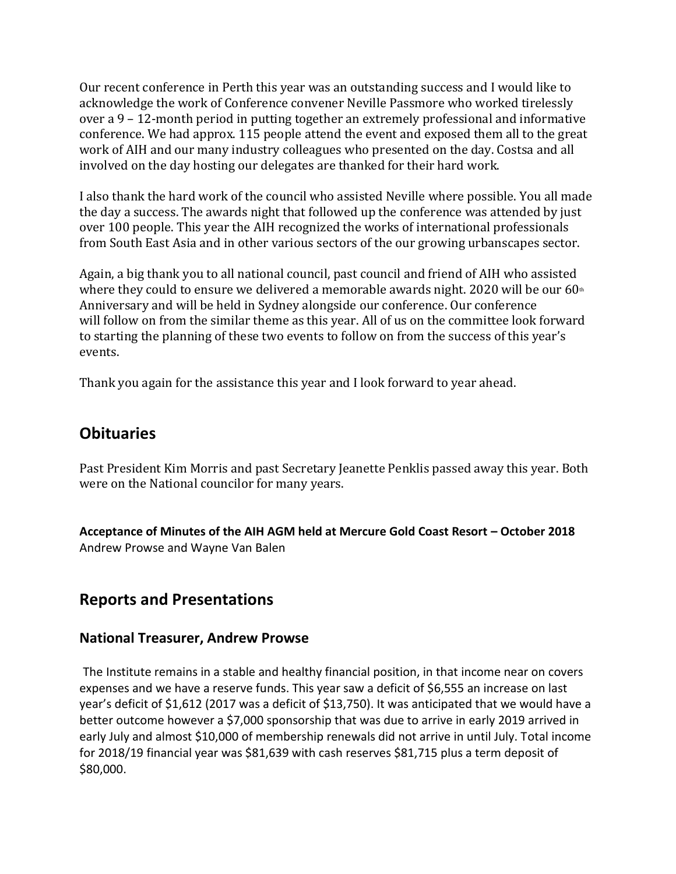Our recent conference in Perth this year was an outstanding success and I would like to acknowledge the work of Conference convener Neville Passmore who worked tirelessly over a 9 – 12-month period in putting together an extremely professional and informative conference. We had approx. 115 people attend the event and exposed them all to the great work of AIH and our many industry colleagues who presented on the day. Costsa and all involved on the day hosting our delegates are thanked for their hard work.

I also thank the hard work of the council who assisted Neville where possible. You all made the day a success. The awards night that followed up the conference was attended by just over 100 people. This year the AIH recognized the works of international professionals from South East Asia and in other various sectors of the our growing urbanscapes sector.

Again, a big thank you to all national council, past council and friend of AIH who assisted where they could to ensure we delivered a memorable awards night. 2020 will be our  $60<sup>th</sup>$ Anniversary and will be held in Sydney alongside our conference. Our conference will follow on from the similar theme as this year. All of us on the committee look forward to starting the planning of these two events to follow on from the success of this year's events.

Thank you again for the assistance this year and I look forward to year ahead.

### **Obituaries**

Past President Kim Morris and past Secretary Jeanette Penklis passed away this year. Both were on the National councilor for many years.

**Acceptance of Minutes of the AIH AGM held at Mercure Gold Coast Resort – October 2018**  Andrew Prowse and Wayne Van Balen

### **Reports and Presentations**

### **National Treasurer, Andrew Prowse**

The Institute remains in a stable and healthy financial position, in that income near on covers expenses and we have a reserve funds. This year saw a deficit of \$6,555 an increase on last year's deficit of \$1,612 (2017 was a deficit of \$13,750). It was anticipated that we would have a better outcome however a \$7,000 sponsorship that was due to arrive in early 2019 arrived in early July and almost \$10,000 of membership renewals did not arrive in until July. Total income for 2018/19 financial year was \$81,639 with cash reserves \$81,715 plus a term deposit of \$80,000.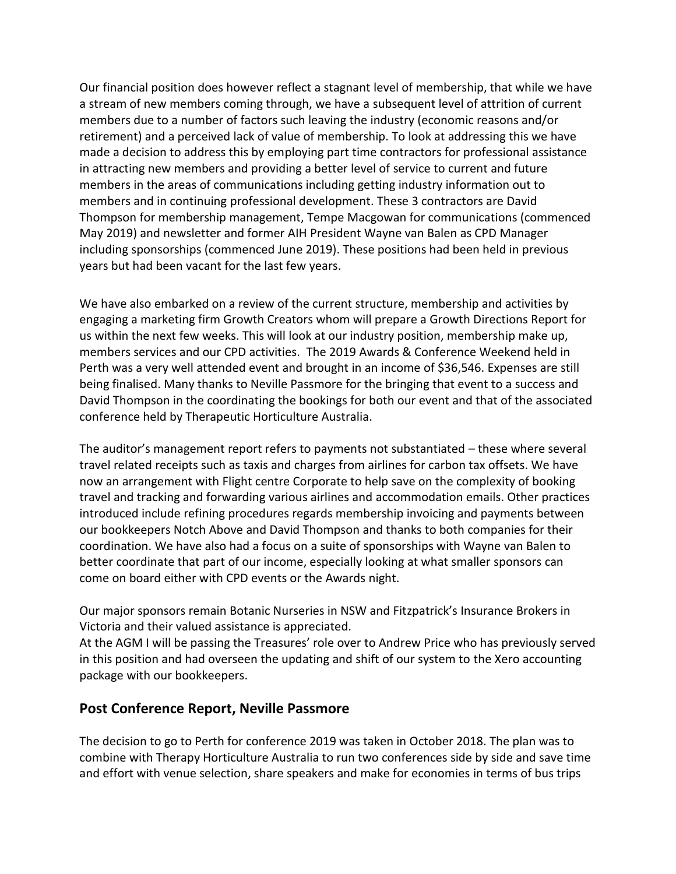Our financial position does however reflect a stagnant level of membership, that while we have a stream of new members coming through, we have a subsequent level of attrition of current members due to a number of factors such leaving the industry (economic reasons and/or retirement) and a perceived lack of value of membership. To look at addressing this we have made a decision to address this by employing part time contractors for professional assistance in attracting new members and providing a better level of service to current and future members in the areas of communications including getting industry information out to members and in continuing professional development. These 3 contractors are David Thompson for membership management, Tempe Macgowan for communications (commenced May 2019) and newsletter and former AIH President Wayne van Balen as CPD Manager including sponsorships (commenced June 2019). These positions had been held in previous years but had been vacant for the last few years.

We have also embarked on a review of the current structure, membership and activities by engaging a marketing firm Growth Creators whom will prepare a Growth Directions Report for us within the next few weeks. This will look at our industry position, membership make up, members services and our CPD activities. The 2019 Awards & Conference Weekend held in Perth was a very well attended event and brought in an income of \$36,546. Expenses are still being finalised. Many thanks to Neville Passmore for the bringing that event to a success and David Thompson in the coordinating the bookings for both our event and that of the associated conference held by Therapeutic Horticulture Australia.

The auditor's management report refers to payments not substantiated – these where several travel related receipts such as taxis and charges from airlines for carbon tax offsets. We have now an arrangement with Flight centre Corporate to help save on the complexity of booking travel and tracking and forwarding various airlines and accommodation emails. Other practices introduced include refining procedures regards membership invoicing and payments between our bookkeepers Notch Above and David Thompson and thanks to both companies for their coordination. We have also had a focus on a suite of sponsorships with Wayne van Balen to better coordinate that part of our income, especially looking at what smaller sponsors can come on board either with CPD events or the Awards night.

Our major sponsors remain Botanic Nurseries in NSW and Fitzpatrick's Insurance Brokers in Victoria and their valued assistance is appreciated.

At the AGM I will be passing the Treasures' role over to Andrew Price who has previously served in this position and had overseen the updating and shift of our system to the Xero accounting package with our bookkeepers.

### **Post Conference Report, Neville Passmore**

The decision to go to Perth for conference 2019 was taken in October 2018. The plan was to combine with Therapy Horticulture Australia to run two conferences side by side and save time and effort with venue selection, share speakers and make for economies in terms of bus trips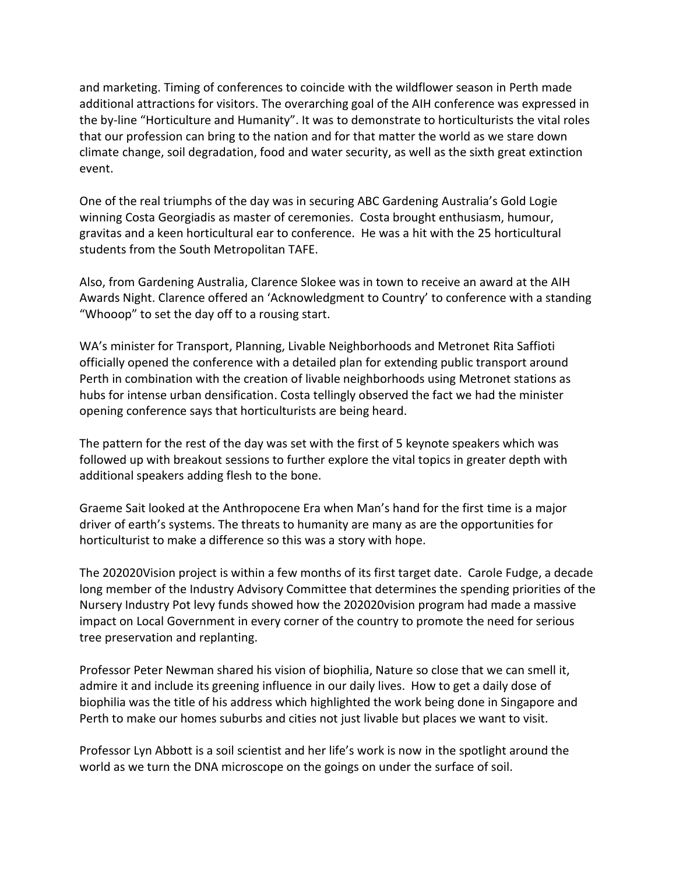and marketing. Timing of conferences to coincide with the wildflower season in Perth made additional attractions for visitors. The overarching goal of the AIH conference was expressed in the by-line "Horticulture and Humanity". It was to demonstrate to horticulturists the vital roles that our profession can bring to the nation and for that matter the world as we stare down climate change, soil degradation, food and water security, as well as the sixth great extinction event.

One of the real triumphs of the day was in securing ABC Gardening Australia's Gold Logie winning Costa Georgiadis as master of ceremonies. Costa brought enthusiasm, humour, gravitas and a keen horticultural ear to conference. He was a hit with the 25 horticultural students from the South Metropolitan TAFE.

Also, from Gardening Australia, Clarence Slokee was in town to receive an award at the AIH Awards Night. Clarence offered an 'Acknowledgment to Country' to conference with a standing "Whooop" to set the day off to a rousing start.

WA's minister for Transport, Planning, Livable Neighborhoods and Metronet Rita Saffioti officially opened the conference with a detailed plan for extending public transport around Perth in combination with the creation of livable neighborhoods using Metronet stations as hubs for intense urban densification. Costa tellingly observed the fact we had the minister opening conference says that horticulturists are being heard.

The pattern for the rest of the day was set with the first of 5 keynote speakers which was followed up with breakout sessions to further explore the vital topics in greater depth with additional speakers adding flesh to the bone.

Graeme Sait looked at the Anthropocene Era when Man's hand for the first time is a major driver of earth's systems. The threats to humanity are many as are the opportunities for horticulturist to make a difference so this was a story with hope.

The 202020Vision project is within a few months of its first target date. Carole Fudge, a decade long member of the Industry Advisory Committee that determines the spending priorities of the Nursery Industry Pot levy funds showed how the 202020vision program had made a massive impact on Local Government in every corner of the country to promote the need for serious tree preservation and replanting.

Professor Peter Newman shared his vision of biophilia, Nature so close that we can smell it, admire it and include its greening influence in our daily lives. How to get a daily dose of biophilia was the title of his address which highlighted the work being done in Singapore and Perth to make our homes suburbs and cities not just livable but places we want to visit.

Professor Lyn Abbott is a soil scientist and her life's work is now in the spotlight around the world as we turn the DNA microscope on the goings on under the surface of soil.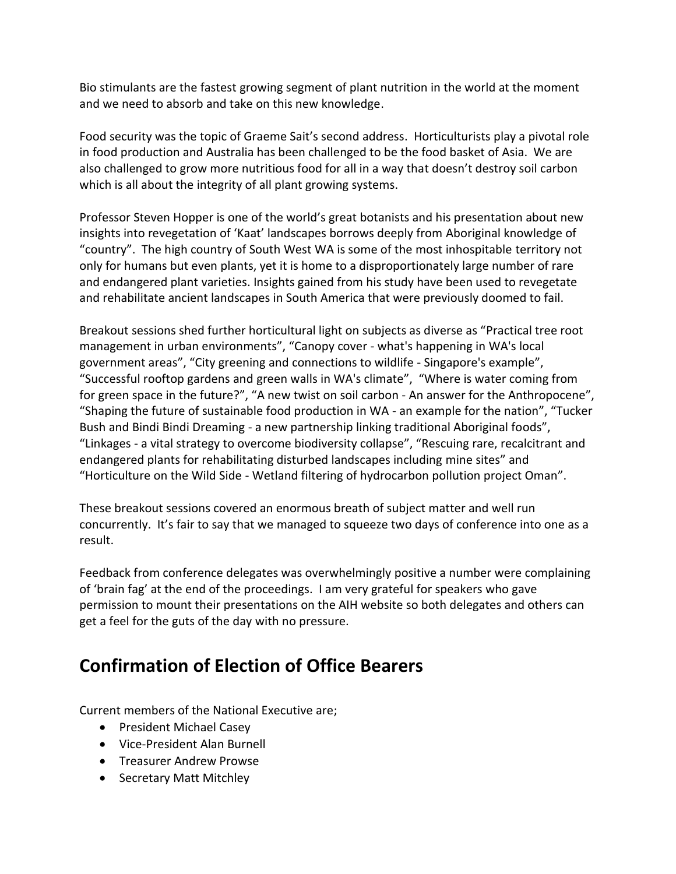Bio stimulants are the fastest growing segment of plant nutrition in the world at the moment and we need to absorb and take on this new knowledge.

Food security was the topic of Graeme Sait's second address. Horticulturists play a pivotal role in food production and Australia has been challenged to be the food basket of Asia. We are also challenged to grow more nutritious food for all in a way that doesn't destroy soil carbon which is all about the integrity of all plant growing systems.

Professor Steven Hopper is one of the world's great botanists and his presentation about new insights into revegetation of 'Kaat' landscapes borrows deeply from Aboriginal knowledge of "country". The high country of South West WA is some of the most inhospitable territory not only for humans but even plants, yet it is home to a disproportionately large number of rare and endangered plant varieties. Insights gained from his study have been used to revegetate and rehabilitate ancient landscapes in South America that were previously doomed to fail.

Breakout sessions shed further horticultural light on subjects as diverse as "Practical tree root management in urban environments", "Canopy cover - what's happening in WA's local government areas", "City greening and connections to wildlife - Singapore's example", "Successful rooftop gardens and green walls in WA's climate", "Where is water coming from for green space in the future?", "A new twist on soil carbon - An answer for the Anthropocene", "Shaping the future of sustainable food production in WA - an example for the nation", "Tucker Bush and Bindi Bindi Dreaming - a new partnership linking traditional Aboriginal foods", "Linkages - a vital strategy to overcome biodiversity collapse", "Rescuing rare, recalcitrant and endangered plants for rehabilitating disturbed landscapes including mine sites" and "Horticulture on the Wild Side - Wetland filtering of hydrocarbon pollution project Oman".

These breakout sessions covered an enormous breath of subject matter and well run concurrently. It's fair to say that we managed to squeeze two days of conference into one as a result.

Feedback from conference delegates was overwhelmingly positive a number were complaining of 'brain fag' at the end of the proceedings. I am very grateful for speakers who gave permission to mount their presentations on the AIH website so both delegates and others can get a feel for the guts of the day with no pressure.

## **Confirmation of Election of Office Bearers**

Current members of the National Executive are;

- President Michael Casey
- Vice-President Alan Burnell
- Treasurer Andrew Prowse
- Secretary Matt Mitchley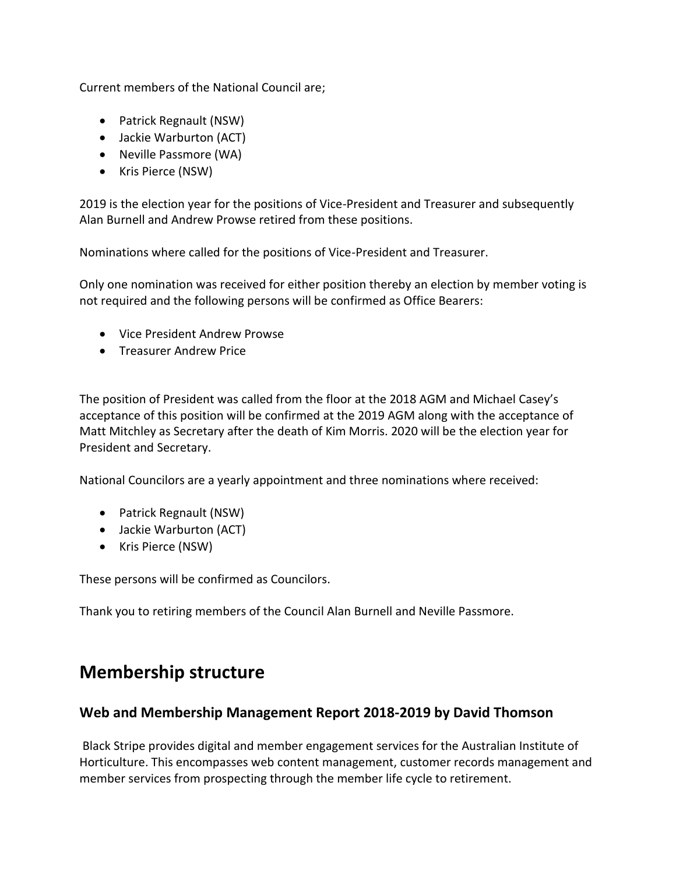Current members of the National Council are;

- Patrick Regnault (NSW)
- Jackie Warburton (ACT)
- Neville Passmore (WA)
- Kris Pierce (NSW)

2019 is the election year for the positions of Vice-President and Treasurer and subsequently Alan Burnell and Andrew Prowse retired from these positions.

Nominations where called for the positions of Vice-President and Treasurer.

Only one nomination was received for either position thereby an election by member voting is not required and the following persons will be confirmed as Office Bearers:

- Vice President Andrew Prowse
- Treasurer Andrew Price

The position of President was called from the floor at the 2018 AGM and Michael Casey's acceptance of this position will be confirmed at the 2019 AGM along with the acceptance of Matt Mitchley as Secretary after the death of Kim Morris. 2020 will be the election year for President and Secretary.

National Councilors are a yearly appointment and three nominations where received:

- Patrick Regnault (NSW)
- Jackie Warburton (ACT)
- Kris Pierce (NSW)

These persons will be confirmed as Councilors.

Thank you to retiring members of the Council Alan Burnell and Neville Passmore.

## **Membership structure**

### **Web and Membership Management Report 2018-2019 by David Thomson**

Black Stripe provides digital and member engagement services for the Australian Institute of Horticulture. This encompasses web content management, customer records management and member services from prospecting through the member life cycle to retirement.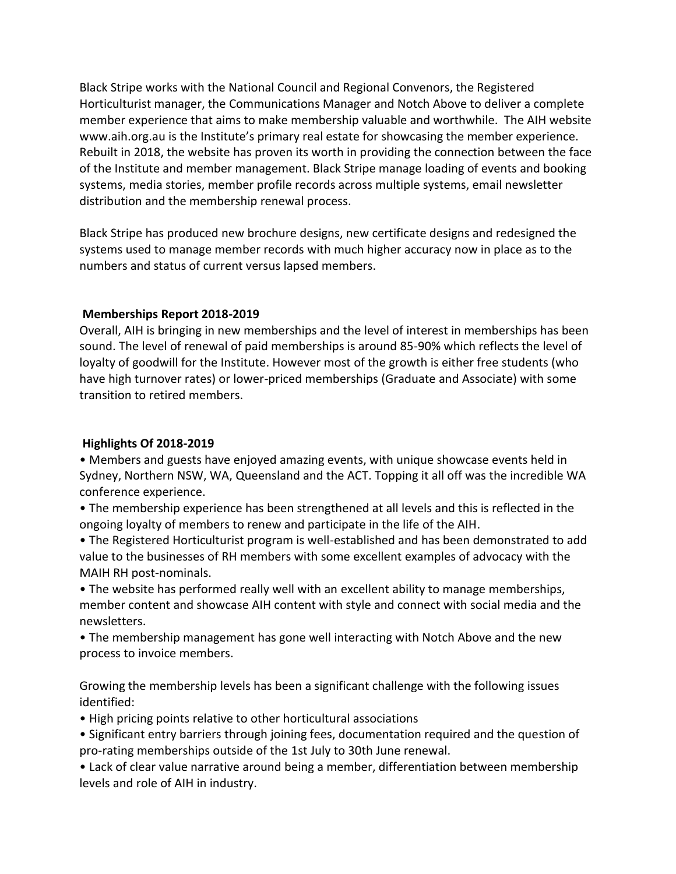Black Stripe works with the National Council and Regional Convenors, the Registered Horticulturist manager, the Communications Manager and Notch Above to deliver a complete member experience that aims to make membership valuable and worthwhile. The AIH website www.aih.org.au is the Institute's primary real estate for showcasing the member experience. Rebuilt in 2018, the website has proven its worth in providing the connection between the face of the Institute and member management. Black Stripe manage loading of events and booking systems, media stories, member profile records across multiple systems, email newsletter distribution and the membership renewal process.

Black Stripe has produced new brochure designs, new certificate designs and redesigned the systems used to manage member records with much higher accuracy now in place as to the numbers and status of current versus lapsed members.

#### **Memberships Report 2018-2019**

Overall, AIH is bringing in new memberships and the level of interest in memberships has been sound. The level of renewal of paid memberships is around 85-90% which reflects the level of loyalty of goodwill for the Institute. However most of the growth is either free students (who have high turnover rates) or lower-priced memberships (Graduate and Associate) with some transition to retired members.

#### **Highlights Of 2018-2019**

• Members and guests have enjoyed amazing events, with unique showcase events held in Sydney, Northern NSW, WA, Queensland and the ACT. Topping it all off was the incredible WA conference experience.

• The membership experience has been strengthened at all levels and this is reflected in the ongoing loyalty of members to renew and participate in the life of the AIH.

• The Registered Horticulturist program is well-established and has been demonstrated to add value to the businesses of RH members with some excellent examples of advocacy with the MAIH RH post-nominals.

• The website has performed really well with an excellent ability to manage memberships, member content and showcase AIH content with style and connect with social media and the newsletters.

• The membership management has gone well interacting with Notch Above and the new process to invoice members.

Growing the membership levels has been a significant challenge with the following issues identified:

• High pricing points relative to other horticultural associations

• Significant entry barriers through joining fees, documentation required and the question of pro-rating memberships outside of the 1st July to 30th June renewal.

• Lack of clear value narrative around being a member, differentiation between membership levels and role of AIH in industry.